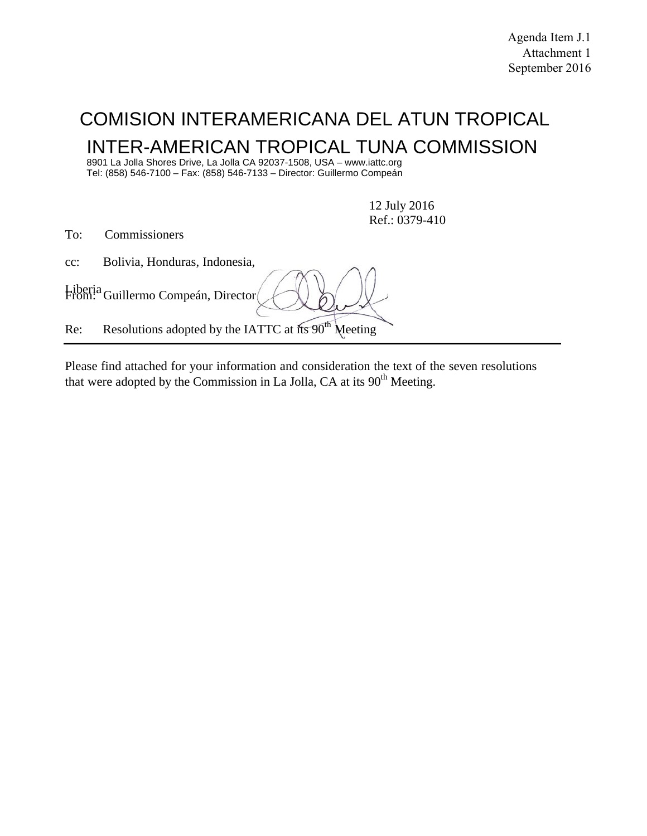# COMISION INTERAMERICANA DEL ATUN TROPICAL INTER-AMERICAN TROPICAL TUNA COMMISSION

8901 La Jolla Shores Drive, La Jolla CA 92037-1508, USA – www.iattc.org Tel: (858) 546-7100 – Fax: (858) 546-7133 – Director: Guillermo Compeán

> 12 July 2016 Ref.: 0379-410

To: Commissioners

cc: Bolivia, Honduras, Indonesia,

Liberia From: Guillermo Compeán, Director

Re: Resolutions adopted by the IATTC at its 90<sup>th</sup> Meeting

Please find attached for your information and consideration the text of the seven resolutions that were adopted by the Commission in La Jolla, CA at its  $90<sup>th</sup>$  Meeting.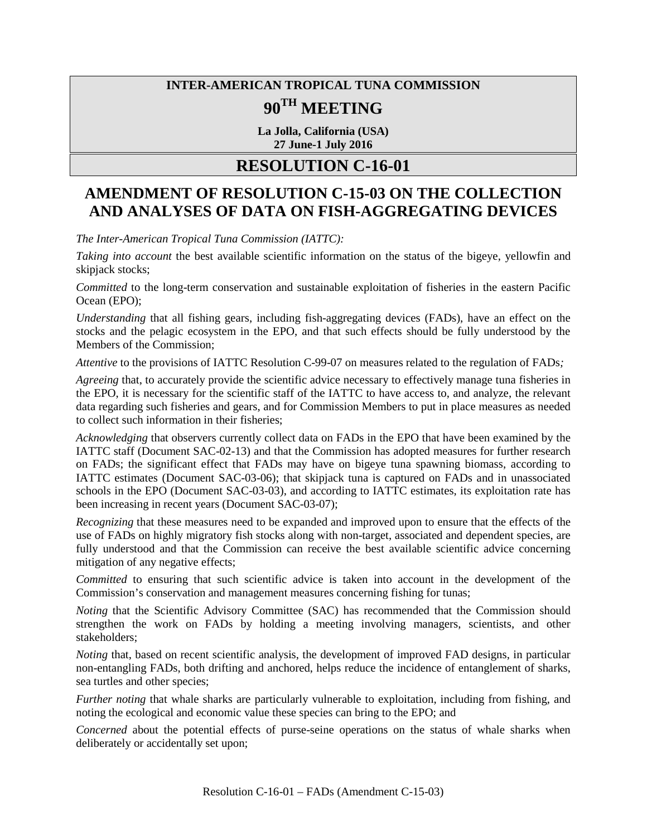# **INTER-AMERICAN TROPICAL TUNA COMMISSION 90TH MEETING**

**La Jolla, California (USA) 27 June-1 July 2016**

# **RESOLUTION C-16-01**

# **AMENDMENT OF RESOLUTION C-15-03 ON THE COLLECTION AND ANALYSES OF DATA ON FISH-AGGREGATING DEVICES**

*The Inter-American Tropical Tuna Commission (IATTC):*

*Taking into account* the best available scientific information on the status of the bigeye, yellowfin and skipjack stocks;

*Committed* to the long-term conservation and sustainable exploitation of fisheries in the eastern Pacific Ocean (EPO);

*Understanding* that all fishing gears, including fish-aggregating devices (FADs), have an effect on the stocks and the pelagic ecosystem in the EPO, and that such effects should be fully understood by the Members of the Commission;

*Attentive* to the provisions of IATTC Resolution C-99-07 on measures related to the regulation of FADs*;*

*Agreeing* that, to accurately provide the scientific advice necessary to effectively manage tuna fisheries in the EPO, it is necessary for the scientific staff of the IATTC to have access to, and analyze, the relevant data regarding such fisheries and gears, and for Commission Members to put in place measures as needed to collect such information in their fisheries;

*Acknowledging* that observers currently collect data on FADs in the EPO that have been examined by the IATTC staff (Document SAC-02-13) and that the Commission has adopted measures for further research on FADs; the significant effect that FADs may have on bigeye tuna spawning biomass, according to IATTC estimates (Document SAC-03-06); that skipjack tuna is captured on FADs and in unassociated schools in the EPO (Document SAC-03-03), and according to IATTC estimates, its exploitation rate has been increasing in recent years (Document SAC-03-07);

*Recognizing* that these measures need to be expanded and improved upon to ensure that the effects of the use of FADs on highly migratory fish stocks along with non-target, associated and dependent species, are fully understood and that the Commission can receive the best available scientific advice concerning mitigation of any negative effects;

*Committed* to ensuring that such scientific advice is taken into account in the development of the Commission's conservation and management measures concerning fishing for tunas;

*Noting* that the Scientific Advisory Committee (SAC) has recommended that the Commission should strengthen the work on FADs by holding a meeting involving managers, scientists, and other stakeholders;

*Noting* that, based on recent scientific analysis, the development of improved FAD designs, in particular non-entangling FADs, both drifting and anchored, helps reduce the incidence of entanglement of sharks, sea turtles and other species;

*Further noting* that whale sharks are particularly vulnerable to exploitation, including from fishing, and noting the ecological and economic value these species can bring to the EPO; and

*Concerned* about the potential effects of purse-seine operations on the status of whale sharks when deliberately or accidentally set upon;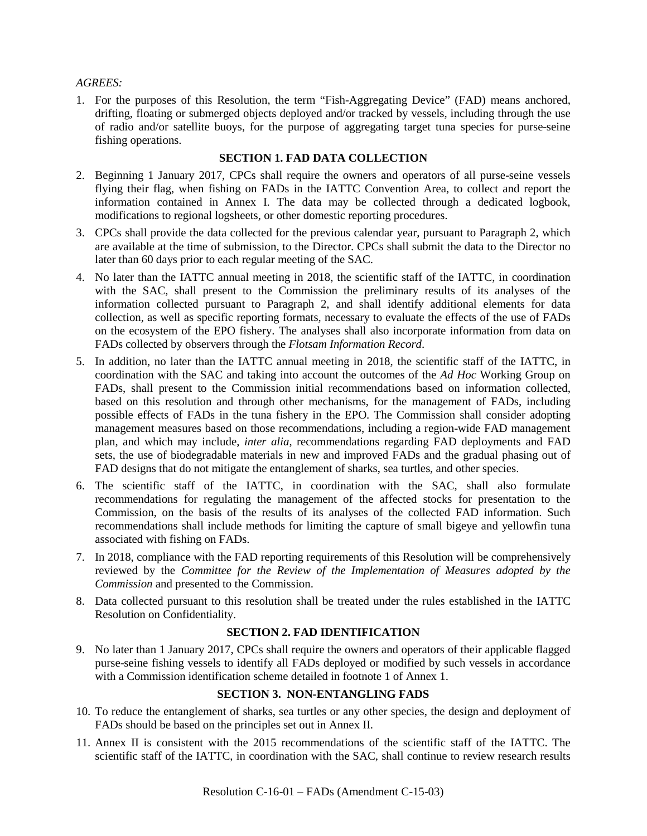#### *AGREES:*

1. For the purposes of this Resolution, the term "Fish-Aggregating Device" (FAD) means anchored, drifting, floating or submerged objects deployed and/or tracked by vessels, including through the use of radio and/or satellite buoys, for the purpose of aggregating target tuna species for purse-seine fishing operations.

#### **SECTION 1. FAD DATA COLLECTION**

- 2. Beginning 1 January 2017, CPCs shall require the owners and operators of all purse-seine vessels flying their flag, when fishing on FADs in the IATTC Convention Area, to collect and report the information contained in Annex I. The data may be collected through a dedicated logbook, modifications to regional logsheets, or other domestic reporting procedures.
- 3. CPCs shall provide the data collected for the previous calendar year, pursuant to Paragraph 2, which are available at the time of submission, to the Director. CPCs shall submit the data to the Director no later than 60 days prior to each regular meeting of the SAC.
- 4. No later than the IATTC annual meeting in 2018, the scientific staff of the IATTC, in coordination with the SAC, shall present to the Commission the preliminary results of its analyses of the information collected pursuant to Paragraph 2, and shall identify additional elements for data collection, as well as specific reporting formats, necessary to evaluate the effects of the use of FADs on the ecosystem of the EPO fishery. The analyses shall also incorporate information from data on FADs collected by observers through the *Flotsam Information Record*.
- 5. In addition, no later than the IATTC annual meeting in 2018, the scientific staff of the IATTC, in coordination with the SAC and taking into account the outcomes of the *Ad Hoc* Working Group on FADs, shall present to the Commission initial recommendations based on information collected, based on this resolution and through other mechanisms, for the management of FADs, including possible effects of FADs in the tuna fishery in the EPO. The Commission shall consider adopting management measures based on those recommendations, including a region-wide FAD management plan, and which may include, *inter alia*, recommendations regarding FAD deployments and FAD sets, the use of biodegradable materials in new and improved FADs and the gradual phasing out of FAD designs that do not mitigate the entanglement of sharks, sea turtles, and other species.
- 6. The scientific staff of the IATTC, in coordination with the SAC, shall also formulate recommendations for regulating the management of the affected stocks for presentation to the Commission, on the basis of the results of its analyses of the collected FAD information. Such recommendations shall include methods for limiting the capture of small bigeye and yellowfin tuna associated with fishing on FADs.
- 7. In 2018, compliance with the FAD reporting requirements of this Resolution will be comprehensively reviewed by the *Committee for the Review of the Implementation of Measures adopted by the Commission* and presented to the Commission.
- 8. Data collected pursuant to this resolution shall be treated under the rules established in the IATTC Resolution on Confidentiality.

### **SECTION 2. FAD IDENTIFICATION**

9. No later than 1 January 2017, CPCs shall require the owners and operators of their applicable flagged purse-seine fishing vessels to identify all FADs deployed or modified by such vessels in accordance with a Commission identification scheme detailed in footnote 1 of Annex 1.

### **SECTION 3. NON-ENTANGLING FADS**

- 10. To reduce the entanglement of sharks, sea turtles or any other species, the design and deployment of FADs should be based on the principles set out in Annex II.
- 11. Annex II is consistent with the 2015 recommendations of the scientific staff of the IATTC. The scientific staff of the IATTC, in coordination with the SAC, shall continue to review research results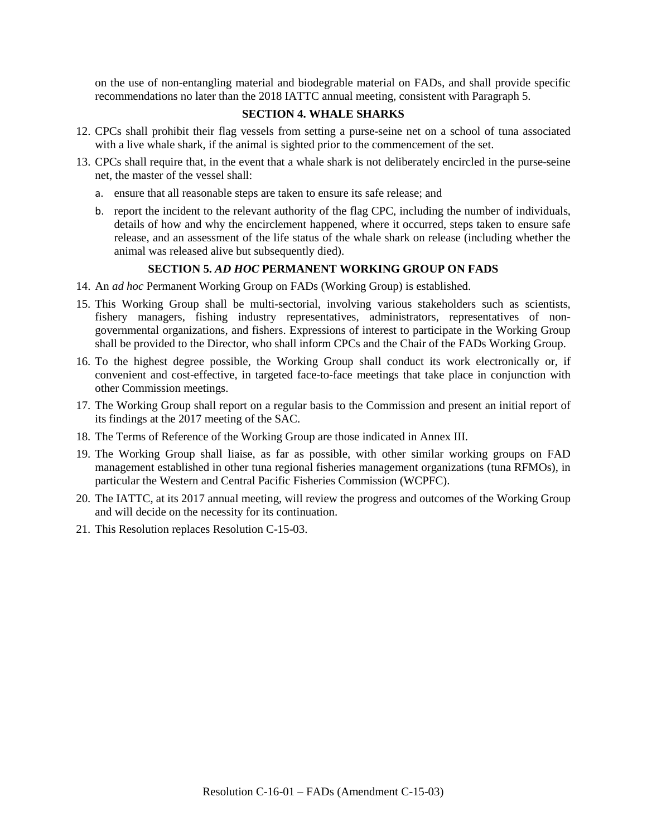on the use of non-entangling material and biodegrable material on FADs, and shall provide specific recommendations no later than the 2018 IATTC annual meeting, consistent with Paragraph 5.

### **SECTION 4. WHALE SHARKS**

- 12. CPCs shall prohibit their flag vessels from setting a purse-seine net on a school of tuna associated with a live whale shark, if the animal is sighted prior to the commencement of the set.
- 13. CPCs shall require that, in the event that a whale shark is not deliberately encircled in the purse-seine net, the master of the vessel shall:
	- a. ensure that all reasonable steps are taken to ensure its safe release; and
	- b. report the incident to the relevant authority of the flag CPC, including the number of individuals, details of how and why the encirclement happened, where it occurred, steps taken to ensure safe release, and an assessment of the life status of the whale shark on release (including whether the animal was released alive but subsequently died).

### **SECTION 5.** *AD HOC* **PERMANENT WORKING GROUP ON FADS**

- 14. An *ad hoc* Permanent Working Group on FADs (Working Group) is established.
- 15. This Working Group shall be multi-sectorial, involving various stakeholders such as scientists, fishery managers, fishing industry representatives, administrators, representatives of nongovernmental organizations, and fishers. Expressions of interest to participate in the Working Group shall be provided to the Director, who shall inform CPCs and the Chair of the FADs Working Group.
- 16. To the highest degree possible, the Working Group shall conduct its work electronically or, if convenient and cost-effective, in targeted face-to-face meetings that take place in conjunction with other Commission meetings.
- 17. The Working Group shall report on a regular basis to the Commission and present an initial report of its findings at the 2017 meeting of the SAC.
- 18. The Terms of Reference of the Working Group are those indicated in Annex III.
- 19. The Working Group shall liaise, as far as possible, with other similar working groups on FAD management established in other tuna regional fisheries management organizations (tuna RFMOs), in particular the Western and Central Pacific Fisheries Commission (WCPFC).
- 20. The IATTC, at its 2017 annual meeting, will review the progress and outcomes of the Working Group and will decide on the necessity for its continuation.
- 21. This Resolution replaces Resolution C-15-03.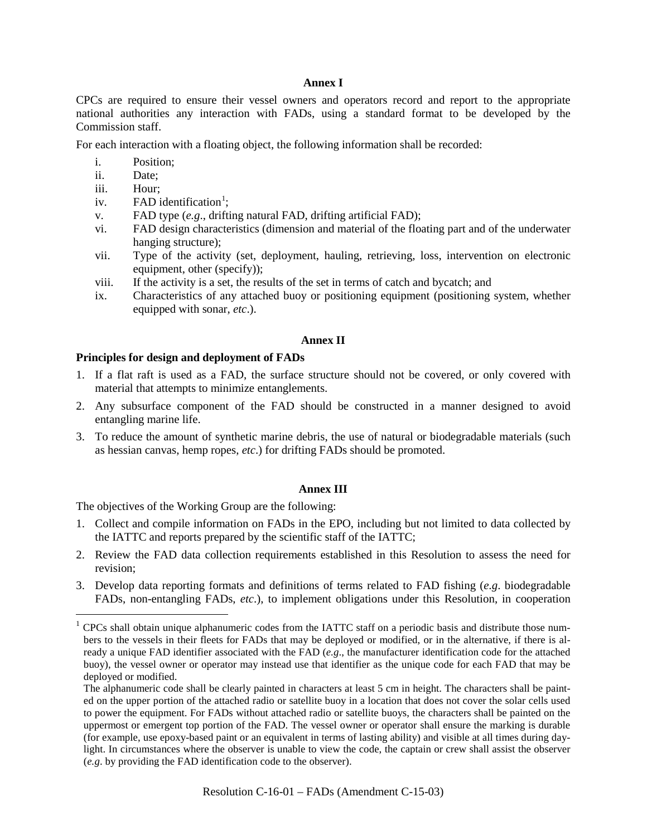#### **Annex I**

CPCs are required to ensure their vessel owners and operators record and report to the appropriate national authorities any interaction with FADs, using a standard format to be developed by the Commission staff.

For each interaction with a floating object, the following information shall be recorded:

- i. Position;
- ii. Date;
- iii. Hour;
- iv. FAD identification<sup>[1](#page-4-0)</sup>;
- v. FAD type (*e.g*., drifting natural FAD, drifting artificial FAD);
- vi. FAD design characteristics (dimension and material of the floating part and of the underwater hanging structure);
- vii. Type of the activity (set, deployment, hauling, retrieving, loss, intervention on electronic equipment, other (specify));
- viii. If the activity is a set, the results of the set in terms of catch and bycatch; and
- ix. Characteristics of any attached buoy or positioning equipment (positioning system, whether equipped with sonar, *etc*.).

#### **Annex II**

#### **Principles for design and deployment of FADs**

- 1. If a flat raft is used as a FAD, the surface structure should not be covered, or only covered with material that attempts to minimize entanglements.
- 2. Any subsurface component of the FAD should be constructed in a manner designed to avoid entangling marine life.
- 3. To reduce the amount of synthetic marine debris, the use of natural or biodegradable materials (such as hessian canvas, hemp ropes, *etc*.) for drifting FADs should be promoted.

#### **Annex III**

The objectives of the Working Group are the following:

- 1. Collect and compile information on FADs in the EPO, including but not limited to data collected by the IATTC and reports prepared by the scientific staff of the IATTC;
- 2. Review the FAD data collection requirements established in this Resolution to assess the need for revision;
- 3. Develop data reporting formats and definitions of terms related to FAD fishing (*e.g*. biodegradable FADs, non-entangling FADs, *etc*.), to implement obligations under this Resolution, in cooperation

<span id="page-4-0"></span> $1$  CPCs shall obtain unique alphanumeric codes from the IATTC staff on a periodic basis and distribute those numbers to the vessels in their fleets for FADs that may be deployed or modified, or in the alternative, if there is already a unique FAD identifier associated with the FAD (*e.g*., the manufacturer identification code for the attached buoy), the vessel owner or operator may instead use that identifier as the unique code for each FAD that may be deployed or modified.

The alphanumeric code shall be clearly painted in characters at least 5 cm in height. The characters shall be painted on the upper portion of the attached radio or satellite buoy in a location that does not cover the solar cells used to power the equipment. For FADs without attached radio or satellite buoys, the characters shall be painted on the uppermost or emergent top portion of the FAD. The vessel owner or operator shall ensure the marking is durable (for example, use epoxy-based paint or an equivalent in terms of lasting ability) and visible at all times during daylight. In circumstances where the observer is unable to view the code, the captain or crew shall assist the observer (*e.g*. by providing the FAD identification code to the observer).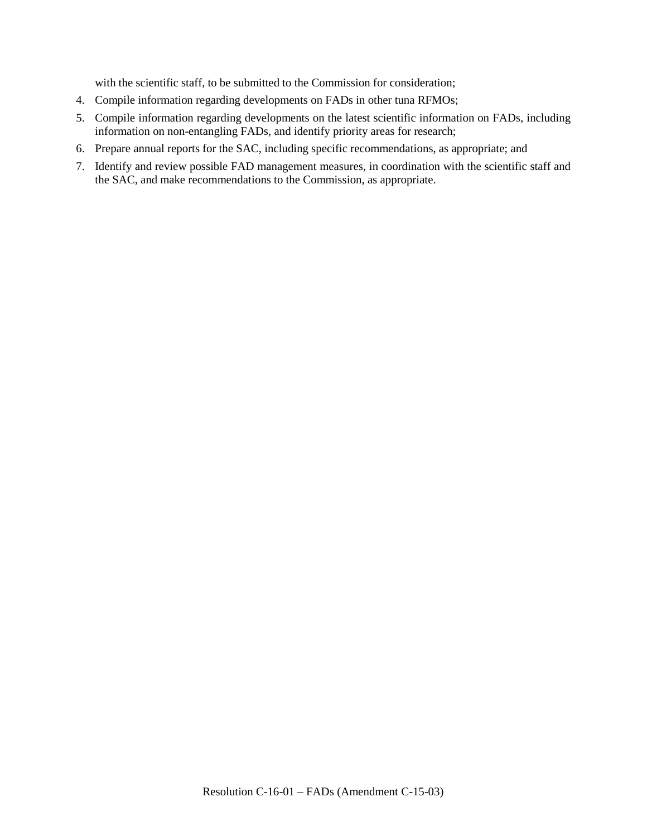with the scientific staff, to be submitted to the Commission for consideration;

- 4. Compile information regarding developments on FADs in other tuna RFMOs;
- 5. Compile information regarding developments on the latest scientific information on FADs, including information on non-entangling FADs, and identify priority areas for research;
- 6. Prepare annual reports for the SAC, including specific recommendations, as appropriate; and
- 7. Identify and review possible FAD management measures, in coordination with the scientific staff and the SAC, and make recommendations to the Commission, as appropriate.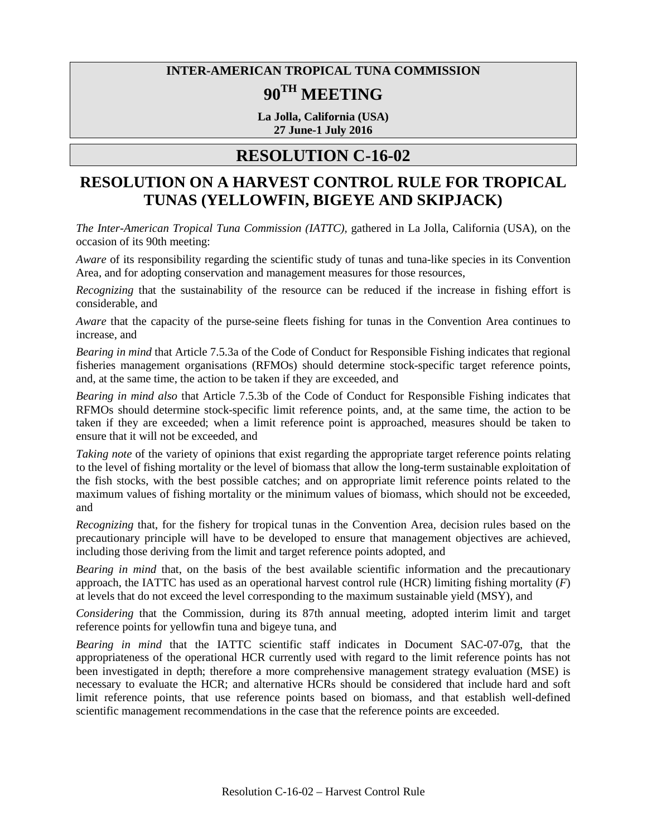### **INTER-AMERICAN TROPICAL TUNA COMMISSION**

# **90TH MEETING**

**La Jolla, California (USA) 27 June-1 July 2016**

### **RESOLUTION C-16-02**

### **RESOLUTION ON A HARVEST CONTROL RULE FOR TROPICAL TUNAS (YELLOWFIN, BIGEYE AND SKIPJACK)**

*The Inter-American Tropical Tuna Commission (IATTC),* gathered in La Jolla, California (USA), on the occasion of its 90th meeting:

*Aware* of its responsibility regarding the scientific study of tunas and tuna-like species in its Convention Area, and for adopting conservation and management measures for those resources,

*Recognizing* that the sustainability of the resource can be reduced if the increase in fishing effort is considerable, and

*Aware* that the capacity of the purse-seine fleets fishing for tunas in the Convention Area continues to increase, and

*Bearing in mind* that Article 7.5.3a of the Code of Conduct for Responsible Fishing indicates that regional fisheries management organisations (RFMOs) should determine stock-specific target reference points, and, at the same time, the action to be taken if they are exceeded, and

*Bearing in mind also* that Article 7.5.3b of the Code of Conduct for Responsible Fishing indicates that RFMOs should determine stock-specific limit reference points, and, at the same time, the action to be taken if they are exceeded; when a limit reference point is approached, measures should be taken to ensure that it will not be exceeded, and

*Taking note* of the variety of opinions that exist regarding the appropriate target reference points relating to the level of fishing mortality or the level of biomass that allow the long-term sustainable exploitation of the fish stocks, with the best possible catches; and on appropriate limit reference points related to the maximum values of fishing mortality or the minimum values of biomass, which should not be exceeded, and

*Recognizing* that, for the fishery for tropical tunas in the Convention Area, decision rules based on the precautionary principle will have to be developed to ensure that management objectives are achieved, including those deriving from the limit and target reference points adopted, and

*Bearing in mind* that, on the basis of the best available scientific information and the precautionary approach, the IATTC has used as an operational harvest control rule (HCR) limiting fishing mortality (*F*) at levels that do not exceed the level corresponding to the maximum sustainable yield (MSY), and

*Considering* that the Commission, during its 87th annual meeting, adopted interim limit and target reference points for yellowfin tuna and bigeye tuna, and

*Bearing in mind* that the IATTC scientific staff indicates in Document SAC-07-07g, that the appropriateness of the operational HCR currently used with regard to the limit reference points has not been investigated in depth; therefore a more comprehensive management strategy evaluation (MSE) is necessary to evaluate the HCR; and alternative HCRs should be considered that include hard and soft limit reference points, that use reference points based on biomass, and that establish well-defined scientific management recommendations in the case that the reference points are exceeded.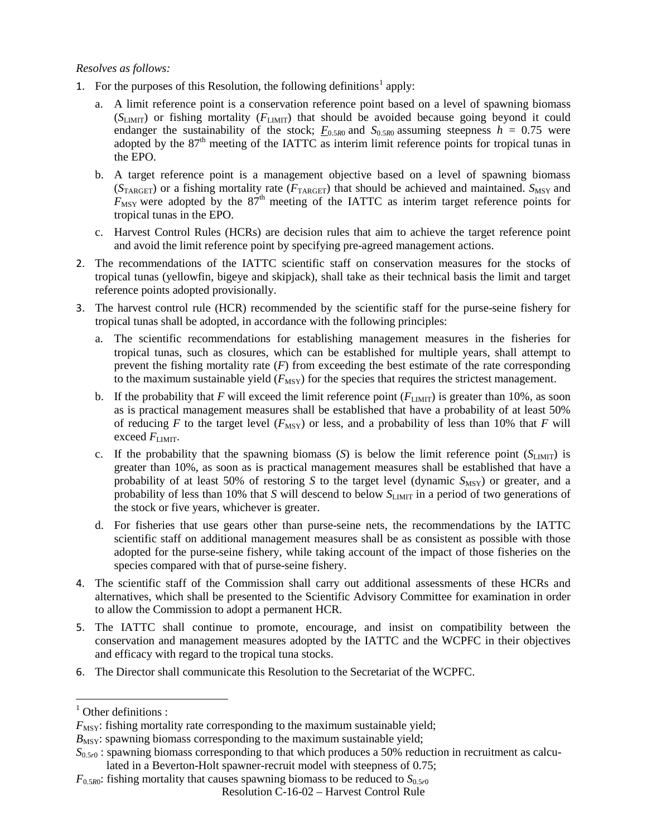#### *Resolves as follows:*

- [1](#page-7-0). For the purposes of this Resolution, the following definitions<sup>1</sup> apply:
	- a. A limit reference point is a conservation reference point based on a level of spawning biomass (*S*LIMIT) or fishing mortality (*F*LIMIT) that should be avoided because going beyond it could endanger the sustainability of the stock;  $F_{0.5R0}$  and  $S_{0.5R0}$  assuming steepness  $h = 0.75$  were adopted by the 87<sup>th</sup> meeting of the IATTC as interim limit reference points for tropical tunas in the EPO.
	- b. A target reference point is a management objective based on a level of spawning biomass  $(S_{TARGE})$  or a fishing mortality rate ( $F_{TARGE}$ ) that should be achieved and maintained.  $S_{MSY}$  and  $F_{\text{MSY}}$  were adopted by the  $87<sup>th</sup>$  meeting of the IATTC as interim target reference points for tropical tunas in the EPO.
	- c. Harvest Control Rules (HCRs) are decision rules that aim to achieve the target reference point and avoid the limit reference point by specifying pre-agreed management actions.
- 2. The recommendations of the IATTC scientific staff on conservation measures for the stocks of tropical tunas (yellowfin, bigeye and skipjack), shall take as their technical basis the limit and target reference points adopted provisionally.
- 3. The harvest control rule (HCR) recommended by the scientific staff for the purse-seine fishery for tropical tunas shall be adopted, in accordance with the following principles:
	- a. The scientific recommendations for establishing management measures in the fisheries for tropical tunas, such as closures, which can be established for multiple years, shall attempt to prevent the fishing mortality rate (*F*) from exceeding the best estimate of the rate corresponding to the maximum sustainable yield  $(F_{\text{MSY}})$  for the species that requires the strictest management.
	- b. If the probability that *F* will exceed the limit reference point  $(F_{LIMIT})$  is greater than 10%, as soon as is practical management measures shall be established that have a probability of at least 50% of reducing *F* to the target level ( $F_{\text{MSY}}$ ) or less, and a probability of less than 10% that *F* will exceed  $F_{\text{LMT}}$ .
	- c. If the probability that the spawning biomass (*S*) is below the limit reference point (*S*LIMIT) is greater than 10%, as soon as is practical management measures shall be established that have a probability of at least 50% of restoring *S* to the target level (dynamic  $S_{MSY}$ ) or greater, and a probability of less than 10% that *S* will descend to below  $S_{\text{LMIT}}$  in a period of two generations of the stock or five years, whichever is greater.
	- d. For fisheries that use gears other than purse-seine nets, the recommendations by the IATTC scientific staff on additional management measures shall be as consistent as possible with those adopted for the purse-seine fishery, while taking account of the impact of those fisheries on the species compared with that of purse-seine fishery.
- 4. The scientific staff of the Commission shall carry out additional assessments of these HCRs and alternatives, which shall be presented to the Scientific Advisory Committee for examination in order to allow the Commission to adopt a permanent HCR.
- 5. The IATTC shall continue to promote, encourage, and insist on compatibility between the conservation and management measures adopted by the IATTC and the WCPFC in their objectives and efficacy with regard to the tropical tuna stocks.
- 6. The Director shall communicate this Resolution to the Secretariat of the WCPFC.

<span id="page-7-0"></span> $<sup>1</sup>$  Other definitions :</sup>

 $F_{\text{MSY}}$ : fishing mortality rate corresponding to the maximum sustainable yield;

 $B_{\text{MSY}}$ : spawning biomass corresponding to the maximum sustainable yield;

 $S_{0.5r0}$ : spawning biomass corresponding to that which produces a 50% reduction in recruitment as calculated in a Beverton-Holt spawner-recruit model with steepness of 0.75;

Resolution C-16-02 – Harvest Control Rule  $F_{0.5R0}$ : fishing mortality that causes spawning biomass to be reduced to  $S_{0.5r0}$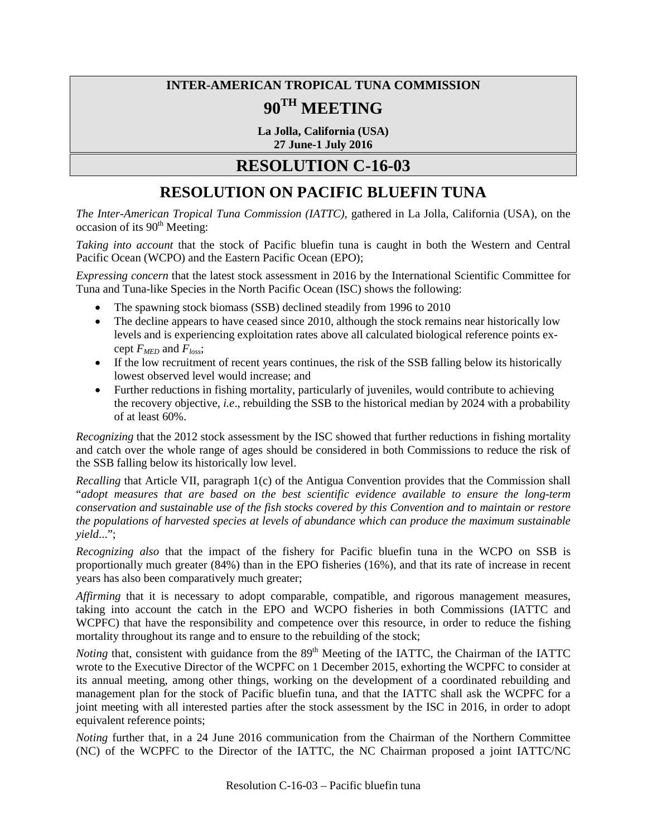# **INTER-AMERICAN TROPICAL TUNA COMMISSION 90TH MEETING**

**La Jolla, California (USA) 27 June-1 July 2016**

### **RESOLUTION C-16-03**

# **RESOLUTION ON PACIFIC BLUEFIN TUNA**

*The Inter-American Tropical Tuna Commission (IATTC)*, gathered in La Jolla, California (USA), on the occasion of its  $90<sup>th</sup>$  Meeting:

*Taking into account* that the stock of Pacific bluefin tuna is caught in both the Western and Central Pacific Ocean (WCPO) and the Eastern Pacific Ocean (EPO);

*Expressing concern* that the latest stock assessment in 2016 by the International Scientific Committee for Tuna and Tuna-like Species in the North Pacific Ocean (ISC) shows the following:

- The spawning stock biomass (SSB) declined steadily from 1996 to 2010
- The decline appears to have ceased since 2010, although the stock remains near historically low levels and is experiencing exploitation rates above all calculated biological reference points except *FMED* and *Floss*;
- If the low recruitment of recent years continues, the risk of the SSB falling below its historically lowest observed level would increase; and
- Further reductions in fishing mortality, particularly of juveniles, would contribute to achieving the recovery objective, *i.e*., rebuilding the SSB to the historical median by 2024 with a probability of at least 60%.

*Recognizing* that the 2012 stock assessment by the ISC showed that further reductions in fishing mortality and catch over the whole range of ages should be considered in both Commissions to reduce the risk of the SSB falling below its historically low level.

*Recalling* that Article VII, paragraph 1(c) of the Antigua Convention provides that the Commission shall "*adopt measures that are based on the best scientific evidence available to ensure the long-term conservation and sustainable use of the fish stocks covered by this Convention and to maintain or restore the populations of harvested species at levels of abundance which can produce the maximum sustainable yield*...";

*Recognizing also* that the impact of the fishery for Pacific bluefin tuna in the WCPO on SSB is proportionally much greater (84%) than in the EPO fisheries (16%), and that its rate of increase in recent years has also been comparatively much greater;

*Affirming* that it is necessary to adopt comparable, compatible, and rigorous management measures, taking into account the catch in the EPO and WCPO fisheries in both Commissions (IATTC and WCPFC) that have the responsibility and competence over this resource, in order to reduce the fishing mortality throughout its range and to ensure to the rebuilding of the stock;

*Noting* that, consistent with guidance from the 89<sup>th</sup> Meeting of the IATTC, the Chairman of the IATTC wrote to the Executive Director of the WCPFC on 1 December 2015, exhorting the WCPFC to consider at its annual meeting, among other things, working on the development of a coordinated rebuilding and management plan for the stock of Pacific bluefin tuna, and that the IATTC shall ask the WCPFC for a joint meeting with all interested parties after the stock assessment by the ISC in 2016, in order to adopt equivalent reference points;

*Noting* further that, in a 24 June 2016 communication from the Chairman of the Northern Committee (NC) of the WCPFC to the Director of the IATTC, the NC Chairman proposed a joint IATTC/NC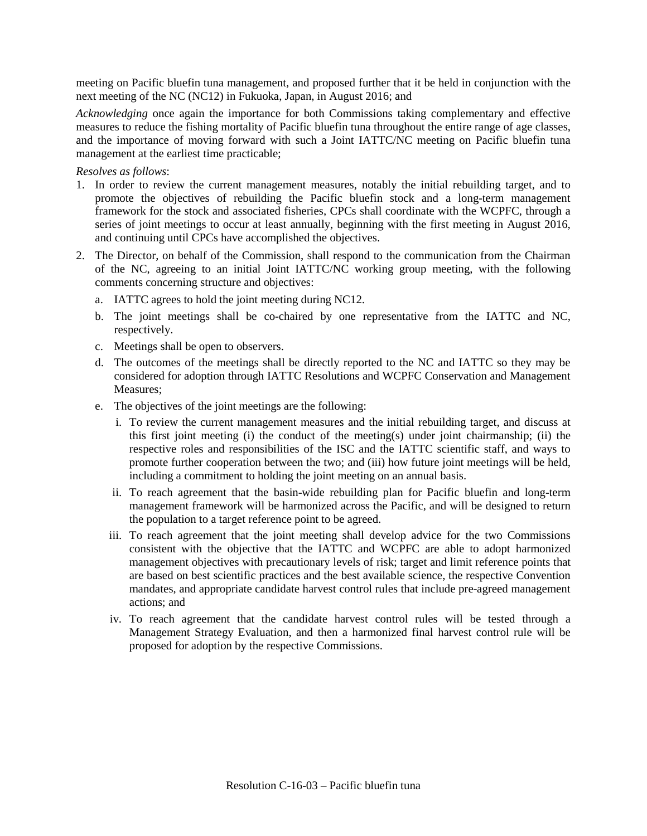meeting on Pacific bluefin tuna management, and proposed further that it be held in conjunction with the next meeting of the NC (NC12) in Fukuoka, Japan, in August 2016; and

*Acknowledging* once again the importance for both Commissions taking complementary and effective measures to reduce the fishing mortality of Pacific bluefin tuna throughout the entire range of age classes, and the importance of moving forward with such a Joint IATTC/NC meeting on Pacific bluefin tuna management at the earliest time practicable;

*Resolves as follows*:

- 1. In order to review the current management measures, notably the initial rebuilding target, and to promote the objectives of rebuilding the Pacific bluefin stock and a long-term management framework for the stock and associated fisheries, CPCs shall coordinate with the WCPFC, through a series of joint meetings to occur at least annually, beginning with the first meeting in August 2016, and continuing until CPCs have accomplished the objectives.
- 2. The Director, on behalf of the Commission, shall respond to the communication from the Chairman of the NC, agreeing to an initial Joint IATTC/NC working group meeting, with the following comments concerning structure and objectives:
	- a. IATTC agrees to hold the joint meeting during NC12.
	- b. The joint meetings shall be co-chaired by one representative from the IATTC and NC, respectively.
	- c. Meetings shall be open to observers.
	- d. The outcomes of the meetings shall be directly reported to the NC and IATTC so they may be considered for adoption through IATTC Resolutions and WCPFC Conservation and Management Measures;
	- e. The objectives of the joint meetings are the following:
		- i. To review the current management measures and the initial rebuilding target, and discuss at this first joint meeting (i) the conduct of the meeting(s) under joint chairmanship; (ii) the respective roles and responsibilities of the ISC and the IATTC scientific staff, and ways to promote further cooperation between the two; and (iii) how future joint meetings will be held, including a commitment to holding the joint meeting on an annual basis.
		- ii. To reach agreement that the basin-wide rebuilding plan for Pacific bluefin and long-term management framework will be harmonized across the Pacific, and will be designed to return the population to a target reference point to be agreed.
		- iii. To reach agreement that the joint meeting shall develop advice for the two Commissions consistent with the objective that the IATTC and WCPFC are able to adopt harmonized management objectives with precautionary levels of risk; target and limit reference points that are based on best scientific practices and the best available science, the respective Convention mandates, and appropriate candidate harvest control rules that include pre-agreed management actions; and
		- iv. To reach agreement that the candidate harvest control rules will be tested through a Management Strategy Evaluation, and then a harmonized final harvest control rule will be proposed for adoption by the respective Commissions.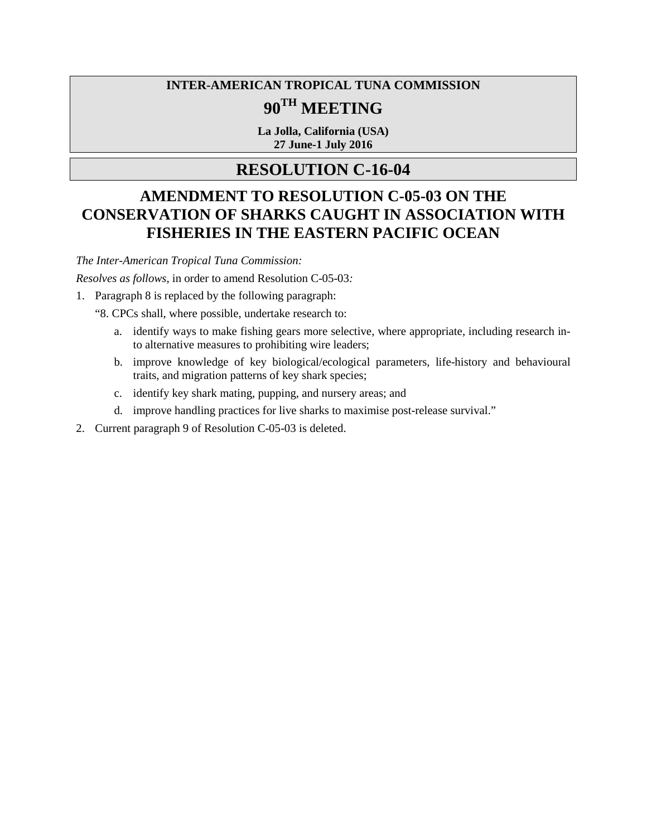# **INTER-AMERICAN TROPICAL TUNA COMMISSION 90TH MEETING**

**La Jolla, California (USA) 27 June-1 July 2016**

# **RESOLUTION C-16-04**

# **AMENDMENT TO RESOLUTION C-05-03 ON THE CONSERVATION OF SHARKS CAUGHT IN ASSOCIATION WITH FISHERIES IN THE EASTERN PACIFIC OCEAN**

*The Inter-American Tropical Tuna Commission:* 

*Resolves as follows*, in order to amend Resolution C-05-03*:*

1. Paragraph 8 is replaced by the following paragraph:

"8. CPCs shall, where possible, undertake research to:

- a. identify ways to make fishing gears more selective, where appropriate, including research into alternative measures to prohibiting wire leaders;
- b. improve knowledge of key biological/ecological parameters, life-history and behavioural traits, and migration patterns of key shark species;
- c. identify key shark mating, pupping, and nursery areas; and
- d. improve handling practices for live sharks to maximise post-release survival."
- 2. Current paragraph 9 of Resolution C-05-03 is deleted.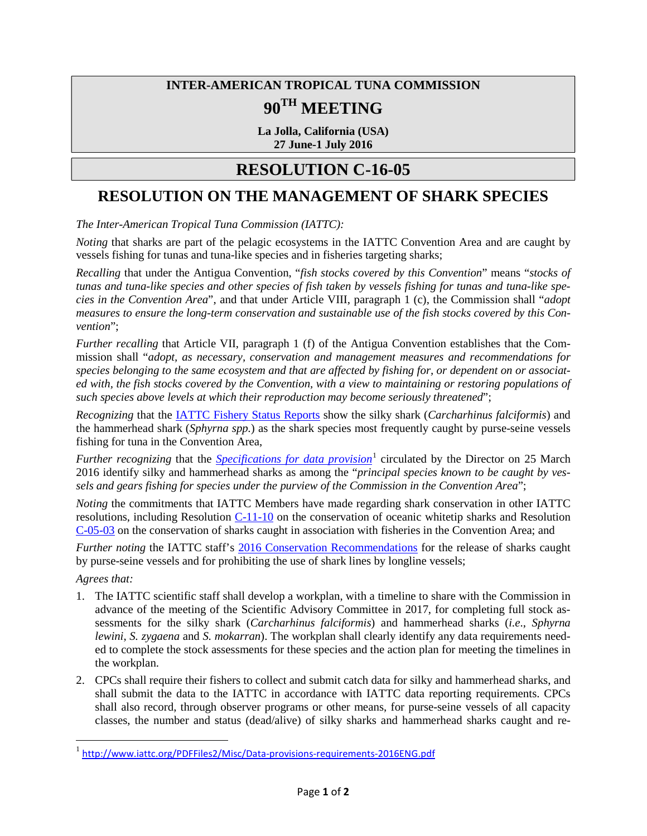# **INTER-AMERICAN TROPICAL TUNA COMMISSION 90TH MEETING**

**La Jolla, California (USA) 27 June-1 July 2016**

### **RESOLUTION C-16-05**

### **RESOLUTION ON THE MANAGEMENT OF SHARK SPECIES**

*The Inter-American Tropical Tuna Commission (IATTC):*

*Noting* that sharks are part of the pelagic ecosystems in the IATTC Convention Area and are caught by vessels fishing for tunas and tuna-like species and in fisheries targeting sharks;

*Recalling* that under the Antigua Convention, "*fish stocks covered by this Convention*" means "*stocks of tunas and tuna-like species and other species of fish taken by vessels fishing for tunas and tuna-like species in the Convention Area*", and that under Article VIII, paragraph 1 (c), the Commission shall "*adopt measures to ensure the long-term conservation and sustainable use of the fish stocks covered by this Convention*";

*Further recalling* that Article VII, paragraph 1 (f) of the Antigua Convention establishes that the Commission shall "*adopt, as necessary, conservation and management measures and recommendations for species belonging to the same ecosystem and that are affected by fishing for, or dependent on or associated with, the fish stocks covered by the Convention, with a view to maintaining or restoring populations of such species above levels at which their reproduction may become seriously threatened*";

*Recognizing* that the [IATTC Fishery Status Reports](http://www.iattc.org/FisheryStatusReportsENG.htm) show the silky shark (*Carcharhinus falciformis*) and the hammerhead shark (*Sphyrna spp.*) as the shark species most frequently caught by purse-seine vessels fishing for tuna in the Convention Area,

*Further recognizing* that the *[Specifications for data provision](http://www.iattc.org/PDFFiles2/Misc/Data-provisions-requirements-2016ENG.pdf)*<sup>[1](#page-11-0)</sup> circulated by the Director on 25 March 2016 identify silky and hammerhead sharks as among the "*principal species known to be caught by vessels and gears fishing for species under the purview of the Commission in the Convention Area*";

*Noting* the commitments that IATTC Members have made regarding shark conservation in other IATTC resolutions, including Resolution  $C-11-10$  on the conservation of oceanic whitetip sharks and Resolution [C-05-03](http://www.iattc.org/PDFFiles2/Resolutions/C-05-03-Sharks.pdf) on the conservation of sharks caught in association with fisheries in the Convention Area; and

*Further noting* the IATTC staff's [2016 Conservation Recommendations](http://www.iattc.org/Meetings/Meetings2016/June/pdf-files/IATTC-90-04d-Conservation-recommendations-2016REV.pdf) for the release of sharks caught by purse-seine vessels and for prohibiting the use of shark lines by longline vessels;

*Agrees that:* 

- 1. The IATTC scientific staff shall develop a workplan, with a timeline to share with the Commission in advance of the meeting of the Scientific Advisory Committee in 2017, for completing full stock assessments for the silky shark (*Carcharhinus falciformis*) and hammerhead sharks (*i.e*., *Sphyrna lewini*, *S. zygaena* and *S. mokarran*). The workplan shall clearly identify any data requirements needed to complete the stock assessments for these species and the action plan for meeting the timelines in the workplan.
- 2. CPCs shall require their fishers to collect and submit catch data for silky and hammerhead sharks, and shall submit the data to the IATTC in accordance with IATTC data reporting requirements. CPCs shall also record, through observer programs or other means, for purse-seine vessels of all capacity classes, the number and status (dead/alive) of silky sharks and hammerhead sharks caught and re-

<span id="page-11-0"></span><sup>&</sup>lt;sup>1</sup> <http://www.iattc.org/PDFFiles2/Misc/Data-provisions-requirements-2016ENG.pdf>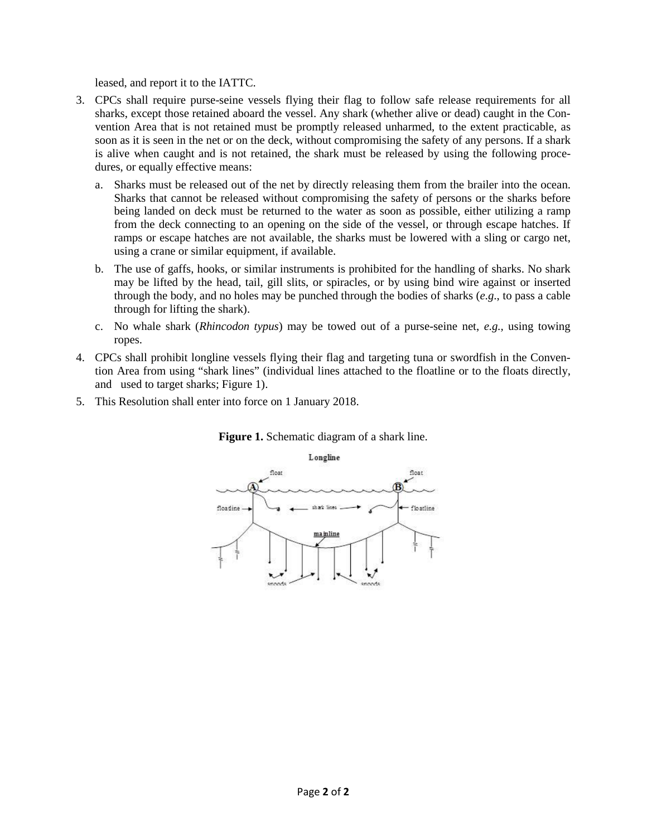leased, and report it to the IATTC.

- 3. CPCs shall require purse-seine vessels flying their flag to follow safe release requirements for all sharks, except those retained aboard the vessel. Any shark (whether alive or dead) caught in the Convention Area that is not retained must be promptly released unharmed, to the extent practicable, as soon as it is seen in the net or on the deck, without compromising the safety of any persons. If a shark is alive when caught and is not retained, the shark must be released by using the following procedures, or equally effective means:
	- a. Sharks must be released out of the net by directly releasing them from the brailer into the ocean. Sharks that cannot be released without compromising the safety of persons or the sharks before being landed on deck must be returned to the water as soon as possible, either utilizing a ramp from the deck connecting to an opening on the side of the vessel, or through escape hatches. If ramps or escape hatches are not available, the sharks must be lowered with a sling or cargo net, using a crane or similar equipment, if available.
	- b. The use of gaffs, hooks, or similar instruments is prohibited for the handling of sharks. No shark may be lifted by the head, tail, gill slits, or spiracles, or by using bind wire against or inserted through the body, and no holes may be punched through the bodies of sharks (*e.g*., to pass a cable through for lifting the shark).
	- c. No whale shark (*Rhincodon typus*) may be towed out of a purse-seine net, *e.g.,* using towing ropes.
- 4. CPCs shall prohibit longline vessels flying their flag and targeting tuna or swordfish in the Convention Area from using "shark lines" (individual lines attached to the floatline or to the floats directly, and used to target sharks; Figure 1).
- 5. This Resolution shall enter into force on 1 January 2018.



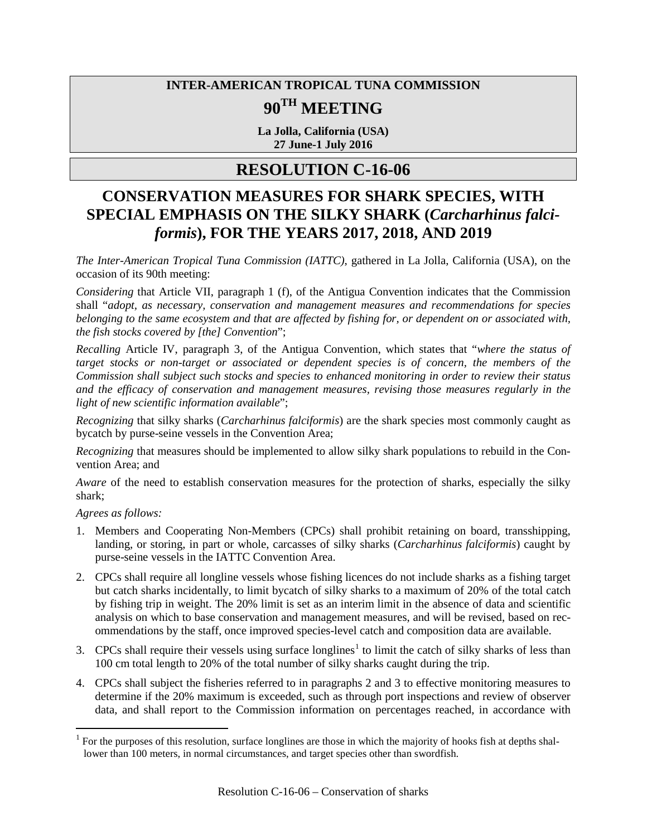# **INTER-AMERICAN TROPICAL TUNA COMMISSION 90TH MEETING**

**La Jolla, California (USA) 27 June-1 July 2016**

### **RESOLUTION C-16-06**

# **CONSERVATION MEASURES FOR SHARK SPECIES, WITH SPECIAL EMPHASIS ON THE SILKY SHARK (***Carcharhinus falciformis***), FOR THE YEARS 2017, 2018, AND 2019**

*The Inter-American Tropical Tuna Commission (IATTC)*, gathered in La Jolla, California (USA), on the occasion of its 90th meeting:

*Considering* that Article VII, paragraph 1 (f), of the Antigua Convention indicates that the Commission shall "*adopt, as necessary, conservation and management measures and recommendations for species belonging to the same ecosystem and that are affected by fishing for, or dependent on or associated with, the fish stocks covered by [the] Convention*";

*Recalling* Article IV, paragraph 3, of the Antigua Convention, which states that "*where the status of target stocks or non-target or associated or dependent species is of concern, the members of the Commission shall subject such stocks and species to enhanced monitoring in order to review their status and the efficacy of conservation and management measures, revising those measures regularly in the light of new scientific information available*";

*Recognizing* that silky sharks (*Carcharhinus falciformis*) are the shark species most commonly caught as bycatch by purse-seine vessels in the Convention Area;

*Recognizing* that measures should be implemented to allow silky shark populations to rebuild in the Convention Area; and

*Aware* of the need to establish conservation measures for the protection of sharks, especially the silky shark;

*Agrees as follows:*

- 1. Members and Cooperating Non-Members (CPCs) shall prohibit retaining on board, transshipping, landing, or storing, in part or whole, carcasses of silky sharks (*Carcharhinus falciformis*) caught by purse-seine vessels in the IATTC Convention Area.
- 2. CPCs shall require all longline vessels whose fishing licences do not include sharks as a fishing target but catch sharks incidentally, to limit bycatch of silky sharks to a maximum of 20% of the total catch by fishing trip in weight. The 20% limit is set as an interim limit in the absence of data and scientific analysis on which to base conservation and management measures, and will be revised, based on recommendations by the staff, once improved species-level catch and composition data are available.
- 3. CPCs shall require their vessels using surface longlines<sup>[1](#page-13-0)</sup> to limit the catch of silky sharks of less than 100 cm total length to 20% of the total number of silky sharks caught during the trip.
- 4. CPCs shall subject the fisheries referred to in paragraphs 2 and 3 to effective monitoring measures to determine if the 20% maximum is exceeded, such as through port inspections and review of observer data, and shall report to the Commission information on percentages reached, in accordance with

<span id="page-13-0"></span> $1$  For the purposes of this resolution, surface longlines are those in which the majority of hooks fish at depths shallower than 100 meters, in normal circumstances, and target species other than swordfish.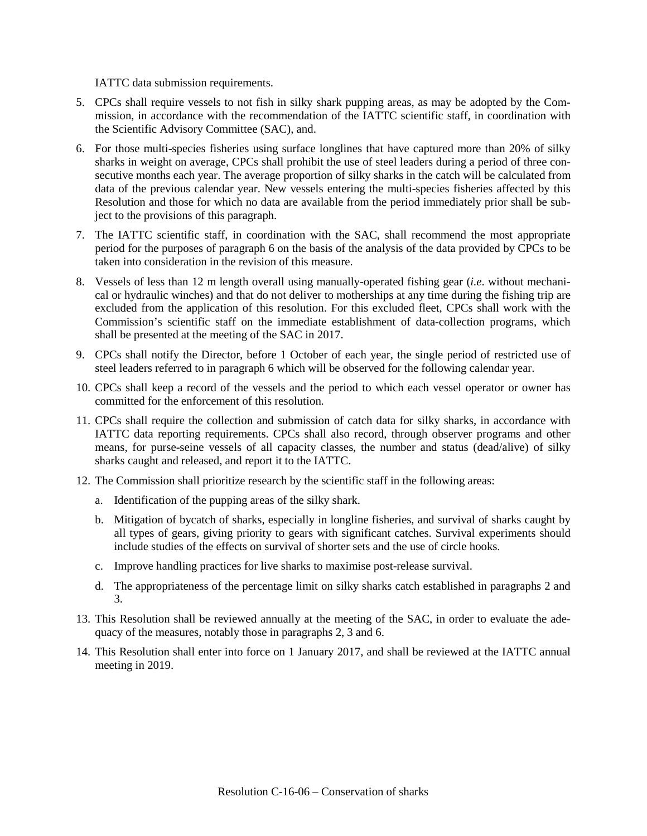IATTC data submission requirements.

- 5. CPCs shall require vessels to not fish in silky shark pupping areas, as may be adopted by the Commission, in accordance with the recommendation of the IATTC scientific staff, in coordination with the Scientific Advisory Committee (SAC), and.
- 6. For those multi-species fisheries using surface longlines that have captured more than 20% of silky sharks in weight on average, CPCs shall prohibit the use of steel leaders during a period of three consecutive months each year. The average proportion of silky sharks in the catch will be calculated from data of the previous calendar year. New vessels entering the multi-species fisheries affected by this Resolution and those for which no data are available from the period immediately prior shall be subject to the provisions of this paragraph.
- 7. The IATTC scientific staff, in coordination with the SAC, shall recommend the most appropriate period for the purposes of paragraph 6 on the basis of the analysis of the data provided by CPCs to be taken into consideration in the revision of this measure.
- 8. Vessels of less than 12 m length overall using manually-operated fishing gear (*i.e*. without mechanical or hydraulic winches) and that do not deliver to motherships at any time during the fishing trip are excluded from the application of this resolution. For this excluded fleet, CPCs shall work with the Commission's scientific staff on the immediate establishment of data-collection programs, which shall be presented at the meeting of the SAC in 2017.
- 9. CPCs shall notify the Director, before 1 October of each year, the single period of restricted use of steel leaders referred to in paragraph 6 which will be observed for the following calendar year.
- 10. CPCs shall keep a record of the vessels and the period to which each vessel operator or owner has committed for the enforcement of this resolution.
- 11. CPCs shall require the collection and submission of catch data for silky sharks, in accordance with IATTC data reporting requirements. CPCs shall also record, through observer programs and other means, for purse-seine vessels of all capacity classes, the number and status (dead/alive) of silky sharks caught and released, and report it to the IATTC.
- 12. The Commission shall prioritize research by the scientific staff in the following areas:
	- a. Identification of the pupping areas of the silky shark.
	- b. Mitigation of bycatch of sharks, especially in longline fisheries, and survival of sharks caught by all types of gears, giving priority to gears with significant catches. Survival experiments should include studies of the effects on survival of shorter sets and the use of circle hooks.
	- c. Improve handling practices for live sharks to maximise post-release survival.
	- d. The appropriateness of the percentage limit on silky sharks catch established in paragraphs 2 and 3.
- 13. This Resolution shall be reviewed annually at the meeting of the SAC, in order to evaluate the adequacy of the measures, notably those in paragraphs 2, 3 and 6.
- 14. This Resolution shall enter into force on 1 January 2017, and shall be reviewed at the IATTC annual meeting in 2019.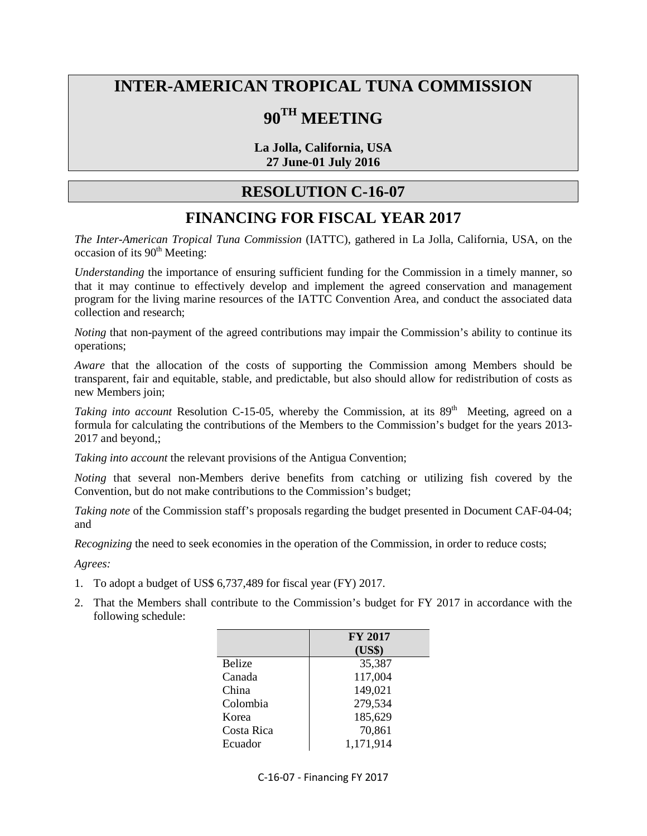# **INTER-AMERICAN TROPICAL TUNA COMMISSION**

# **90TH MEETING**

**La Jolla, California, USA 27 June-01 July 2016**

### **RESOLUTION C-16-07**

### **FINANCING FOR FISCAL YEAR 2017**

*The Inter-American Tropical Tuna Commission* (IATTC), gathered in La Jolla, California, USA, on the  $occasion$  of its  $90<sup>th</sup>$  Meeting:

*Understanding* the importance of ensuring sufficient funding for the Commission in a timely manner, so that it may continue to effectively develop and implement the agreed conservation and management program for the living marine resources of the IATTC Convention Area, and conduct the associated data collection and research;

*Noting* that non-payment of the agreed contributions may impair the Commission's ability to continue its operations;

*Aware* that the allocation of the costs of supporting the Commission among Members should be transparent, fair and equitable, stable, and predictable, but also should allow for redistribution of costs as new Members join;

*Taking into account* Resolution C-15-05, whereby the Commission, at its 89<sup>th</sup> Meeting, agreed on a formula for calculating the contributions of the Members to the Commission's budget for the years 2013- 2017 and beyond,;

*Taking into account* the relevant provisions of the Antigua Convention;

*Noting* that several non-Members derive benefits from catching or utilizing fish covered by the Convention, but do not make contributions to the Commission's budget;

*Taking note* of the Commission staff's proposals regarding the budget presented in Document CAF-04-04; and

*Recognizing* the need to seek economies in the operation of the Commission, in order to reduce costs;

*Agrees:*

- 1. To adopt a budget of US\$ 6,737,489 for fiscal year (FY) 2017.
- 2. That the Members shall contribute to the Commission's budget for FY 2017 in accordance with the following schedule:

|               | <b>FY 2017</b> |
|---------------|----------------|
|               | (US\$)         |
| <b>Belize</b> | 35,387         |
| Canada        | 117,004        |
| China         | 149,021        |
| Colombia      | 279,534        |
| Korea         | 185,629        |
| Costa Rica    | 70,861         |
| Ecuador       | 1,171,914      |